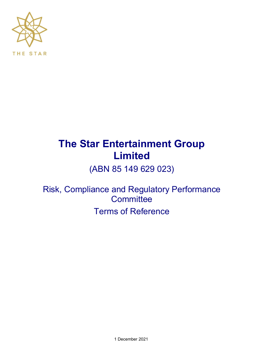

# **The Star Entertainment Group Limited**

(ABN 85 149 629 023)

Risk, Compliance and Regulatory Performance **Committee** Terms of Reference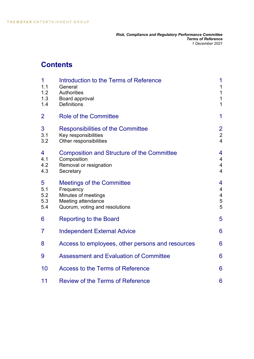# **Contents**

| 1<br>1.1<br>1.2<br>1.3<br>1.4 | Introduction to the Terms of Reference<br>General<br><b>Authorities</b><br>Board approval<br><b>Definitions</b>              | 1<br>1<br>$\mathbf 1$<br>$\mathbf 1$<br>$\mathbf{1}$        |
|-------------------------------|------------------------------------------------------------------------------------------------------------------------------|-------------------------------------------------------------|
| $\overline{2}$                | <b>Role of the Committee</b>                                                                                                 | 1                                                           |
| 3<br>3.1<br>3.2               | <b>Responsibilities of the Committee</b><br>Key responsibilities<br>Other responsibilities                                   | $\overline{2}$<br>$\overline{2}$<br>$\overline{\mathbf{4}}$ |
| 4<br>4.1<br>4.2<br>4.3        | <b>Composition and Structure of the Committee</b><br>Composition<br>Removal or resignation<br>Secretary                      | 4<br>$\overline{\mathcal{A}}$<br>4<br>$\overline{4}$        |
| 5<br>5.1<br>5.2<br>5.3<br>5.4 | <b>Meetings of the Committee</b><br>Frequency<br>Minutes of meetings<br>Meeting attendance<br>Quorum, voting and resolutions | 4<br>$\overline{4}$<br>$\overline{\mathcal{A}}$<br>5<br>5   |
| 6                             | <b>Reporting to the Board</b>                                                                                                | 5                                                           |
| 7                             | <b>Independent External Advice</b>                                                                                           | 6                                                           |
| 8                             | Access to employees, other persons and resources                                                                             | 6                                                           |
| 9                             | <b>Assessment and Evaluation of Committee</b>                                                                                | 6                                                           |
| 10                            | <b>Access to the Terms of Reference</b>                                                                                      | 6                                                           |
| 11                            | <b>Review of the Terms of Reference</b>                                                                                      | 6                                                           |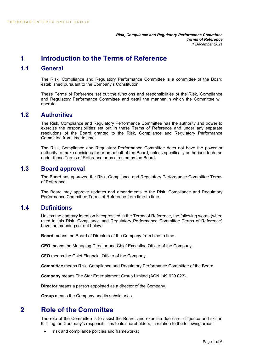# **1 Introduction to the Terms of Reference**

### **1.1 General**

The Risk, Compliance and Regulatory Performance Committee is a committee of the Board established pursuant to the Company's Constitution.

These Terms of Reference set out the functions and responsibilities of the Risk, Compliance and Regulatory Performance Committee and detail the manner in which the Committee will operate.

### **1.2 Authorities**

The Risk, Compliance and Regulatory Performance Committee has the authority and power to exercise the responsibilities set out in these Terms of Reference and under any separate resolutions of the Board granted to the Risk, Compliance and Regulatory Performance Committee from time to time.

The Risk, Compliance and Regulatory Performance Committee does not have the power or authority to make decisions for or on behalf of the Board, unless specifically authorised to do so under these Terms of Reference or as directed by the Board.

### **1.3 Board approval**

The Board has approved the Risk, Compliance and Regulatory Performance Committee Terms of Reference.

The Board may approve updates and amendments to the Risk, Compliance and Regulatory Performance Committee Terms of Reference from time to time.

## **1.4 Definitions**

Unless the contrary intention is expressed in the Terms of Reference, the following words (when used in this Risk, Compliance and Regulatory Performance Committee Terms of Reference) have the meaning set out below:

**Board** means the Board of Directors of the Company from time to time.

**CEO** means the Managing Director and Chief Executive Officer of the Company.

**CFO** means the Chief Financial Officer of the Company.

**Committee** means Risk, Compliance and Regulatory Performance Committee of the Board.

**Company** means The Star Entertainment Group Limited (ACN 149 629 023).

**Director** means a person appointed as a director of the Company.

**Group** means the Company and its subsidiaries.

# **2 Role of the Committee**

The role of the Committee is to assist the Board, and exercise due care, diligence and skill in fulfilling the Company's responsibilities to its shareholders, in relation to the following areas:

• risk and compliance policies and frameworks;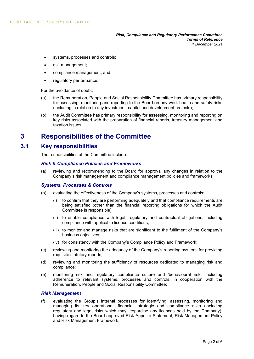- systems, processes and controls;
- risk management;
- compliance management; and
- regulatory performance.

For the avoidance of doubt:

- (a) the Remuneration, People and Social Responsibility Committee has primary responsibility for assessing, monitoring and reporting to the Board on any work health and safety risks (including in relation to any investment, capital and development projects);
- (b) the Audit Committee has primary responsibility for assessing, monitoring and reporting on key risks associated with the preparation of financial reports, treasury management and taxation issues.

# **3 Responsibilities of the Committee**

#### **3.1 Key responsibilities**

The responsibilities of the Committee include:

#### *Risk & Compliance Policies and Frameworks*

(a) reviewing and recommending to the Board for approval any changes in relation to the Company's risk management and compliance management policies and frameworks;

#### *Systems, Processes & Controls*

- (b) evaluating the effectiveness of the Company's systems, processes and controls:
	- (i) to confirm that they are performing adequately and that compliance requirements are being satisfied (other than the financial reporting obligations for which the Audit Committee is responsible);
	- (ii) to enable compliance with legal, regulatory and contractual obligations, including compliance with applicable licence conditions;
	- (iii) to monitor and manage risks that are significant to the fulfilment of the Company's business objectives;
	- (iv) for consistency with the Company's Compliance Policy and Framework;
- (c) reviewing and monitoring the adequacy of the Company's reporting systems for providing requisite statutory reports;
- (d) reviewing and monitoring the sufficiency of resources dedicated to managing risk and compliance;
- (e) monitoring risk and regulatory compliance culture and 'behavioural risk', including adherence to relevant systems, processes and controls, in cooperation with the Remuneration, People and Social Responsibility Committee;

#### *Risk Management*

(f) evaluating the Group's internal processes for identifying, assessing, monitoring and managing its key operational, financial, strategic and compliance risks (including regulatory and legal risks which may jeopardise any licences held by the Company), having regard to the Board approved Risk Appetite Statement, Risk Management Policy and Risk Management Framework;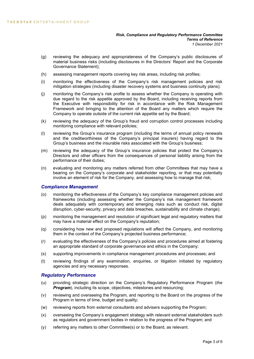- (g) reviewing the adequacy and appropriateness of the Company's public disclosures of material business risks (including disclosures in the Directors' Report and the Corporate Governance Statement);
- (h) assessing management reports covering key risk areas, including risk profiles;
- (i) monitoring the effectiveness of the Company's risk management policies and risk mitigation strategies (including disaster recovery systems and business continuity plans);
- (j) monitoring the Company's risk profile to assess whether the Company is operating with due regard to the risk appetite approved by the Board, including receiving reports from the Executive with responsibility for risk in accordance with the Risk Management Framework and bringing to the attention of the Board any matters which require the Company to operate outside of the current risk appetite set by the Board;
- (k) reviewing the adequacy of the Group's fraud and corruption control processes including monitoring compliance with relevant policies;
- (l) reviewing the Group's insurance program (including the terms of annual policy renewals and the creditworthiness of the Company's principal insurers) having regard to the Group's business and the insurable risks associated with the Group's business;
- (m) reviewing the adequacy of the Group's insurance policies that protect the Company's Directors and other officers from the consequences of personal liability arising from the performance of their duties;
- (n) evaluating and monitoring any matters referred from other Committees that may have a bearing on the Company's corporate and stakeholder reporting, or that may potentially involve an element of risk for the Company, and assessing how to manage that risk;

#### *Compliance Management*

- (o) monitoring the effectiveness of the Company's key compliance management policies and frameworks (including assessing whether the Company's risk management framework deals adequately with contemporary and emerging risks such as conduct risk, digital disruption, cyber-security, privacy and data breaches, sustainability and climate change);
- (p) monitoring the management and resolution of significant legal and regulatory matters that may have a material effect on the Company's reputation;
- (q) considering how new and proposed regulations will affect the Company, and monitoring them in the context of the Company's projected business performance;
- (r) evaluating the effectiveness of the Company's policies and procedures aimed at fostering an appropriate standard of corporate governance and ethics in the Company;
- (s) supporting improvements in compliance management procedures and processes; and
- (t) reviewing findings of any examination, enquiries, or litigation initiated by regulatory agencies and any necessary responses.

#### *Regulatory Performance*

- (u) providing strategic direction on the Company's Regulatory Performance Program (*the*  **Program**), including its scope, objectives, milestones and resourcing;
- (v) reviewing and overseeing the Program, and reporting to the Board on the progress of the Program in terms of time, budget and quality;
- (w) reviewing reports from external consultants and advisers supporting the Program;
- (x) overseeing the Company's engagement strategy with relevant external stakeholders such as regulators and government bodies in relation to the progress of the Program; and
- (y) referring any matters to other Committee(s) or to the Board, as relevant.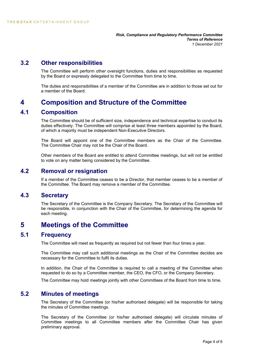#### **3.2 Other responsibilities**

The Committee will perform other oversight functions, duties and responsibilities as requested by the Board or expressly delegated to the Committee from time to time.

The duties and responsibilities of a member of the Committee are in addition to those set out for a member of the Board.

# **4 Composition and Structure of the Committee**

#### **4.1 Composition**

The Committee should be of sufficient size, independence and technical expertise to conduct its duties effectively. The Committee will comprise at least three members appointed by the Board, of which a majority must be independent Non-Executive Directors.

The Board will appoint one of the Committee members as the Chair of the Committee. The Committee Chair may not be the Chair of the Board.

Other members of the Board are entitled to attend Committee meetings, but will not be entitled to vote on any matter being considered by the Committee.

### **4.2 Removal or resignation**

If a member of the Committee ceases to be a Director, that member ceases to be a member of the Committee. The Board may remove a member of the Committee.

#### **4.3 Secretary**

The Secretary of the Committee is the Company Secretary. The Secretary of the Committee will be responsible, in conjunction with the Chair of the Committee, for determining the agenda for each meeting.

# **5 Meetings of the Committee**

### **5.1 Frequency**

The Committee will meet as frequently as required but not fewer than four times a year.

The Committee may call such additional meetings as the Chair of the Committee decides are necessary for the Committee to fulfil its duties.

In addition, the Chair of the Committee is required to call a meeting of the Committee when requested to do so by a Committee member, the CEO, the CFO, or the Company Secretary.

The Committee may hold meetings jointly with other Committees of the Board from time to time.

#### **5.2 Minutes of meetings**

The Secretary of the Committee (or his/her authorised delegate) will be responsible for taking the minutes of Committee meetings.

The Secretary of the Committee (or his/her authorised delegate) will circulate minutes of Committee meetings to all Committee members after the Committee Chair has given preliminary approval.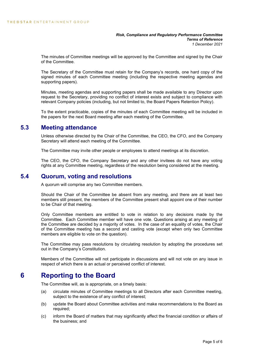*Risk, Compliance and Regulatory Performance Committee Terms of Reference 1 December 2021*

The minutes of Committee meetings will be approved by the Committee and signed by the Chair of the Committee.

The Secretary of the Committee must retain for the Company's records, one hard copy of the signed minutes of each Committee meeting (including the respective meeting agendas and supporting papers).

Minutes, meeting agendas and supporting papers shall be made available to any Director upon request to the Secretary, providing no conflict of interest exists and subject to compliance with relevant Company policies (including, but not limited to, the Board Papers Retention Policy).

To the extent practicable, copies of the minutes of each Committee meeting will be included in the papers for the next Board meeting after each meeting of the Committee.

#### **5.3 Meeting attendance**

Unless otherwise directed by the Chair of the Committee, the CEO, the CFO, and the Company Secretary will attend each meeting of the Committee.

The Committee may invite other people or employees to attend meetings at its discretion.

The CEO, the CFO, the Company Secretary and any other invitees do not have any voting rights at any Committee meeting, regardless of the resolution being considered at the meeting.

#### **5.4 Quorum, voting and resolutions**

A quorum will comprise any two Committee members.

Should the Chair of the Committee be absent from any meeting, and there are at least two members still present, the members of the Committee present shall appoint one of their number to be Chair of that meeting.

Only Committee members are entitled to vote in relation to any decisions made by the Committee. Each Committee member will have one vote. Questions arising at any meeting of the Committee are decided by a majority of votes. In the case of an equality of votes, the Chair of the Committee meeting has a second and casting vote (except when only two Committee members are eligible to vote on the question).

The Committee may pass resolutions by circulating resolution by adopting the procedures set out in the Company's Constitution.

Members of the Committee will not participate in discussions and will not vote on any issue in respect of which there is an actual or perceived conflict of interest.

## **6 Reporting to the Board**

The Committee will, as is appropriate, on a timely basis:

- (a) circulate minutes of Committee meetings to all Directors after each Committee meeting, subject to the existence of any conflict of interest;
- (b) update the Board about Committee activities and make recommendations to the Board as required;
- (c) inform the Board of matters that may significantly affect the financial condition or affairs of the business; and